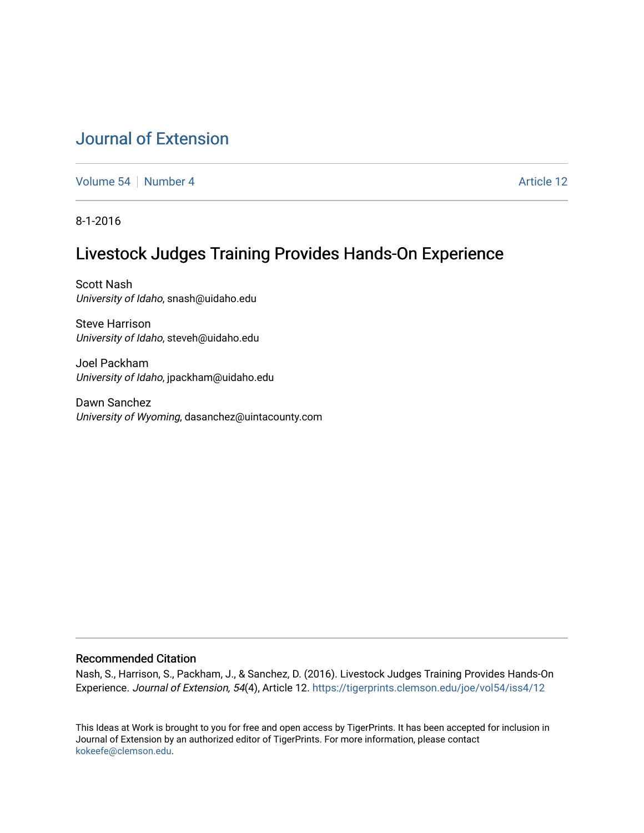# [Journal of Extension](https://tigerprints.clemson.edu/joe)

[Volume 54](https://tigerprints.clemson.edu/joe/vol54) [Number 4](https://tigerprints.clemson.edu/joe/vol54/iss4) **Article 12** Article 12

8-1-2016

# Livestock Judges Training Provides Hands-On Experience

Scott Nash University of Idaho, snash@uidaho.edu

Steve Harrison University of Idaho, steveh@uidaho.edu

Joel Packham University of Idaho, jpackham@uidaho.edu

Dawn Sanchez University of Wyoming, dasanchez@uintacounty.com

## Recommended Citation

Nash, S., Harrison, S., Packham, J., & Sanchez, D. (2016). Livestock Judges Training Provides Hands-On Experience. Journal of Extension, 54(4), Article 12.<https://tigerprints.clemson.edu/joe/vol54/iss4/12>

This Ideas at Work is brought to you for free and open access by TigerPrints. It has been accepted for inclusion in Journal of Extension by an authorized editor of TigerPrints. For more information, please contact [kokeefe@clemson.edu](mailto:kokeefe@clemson.edu).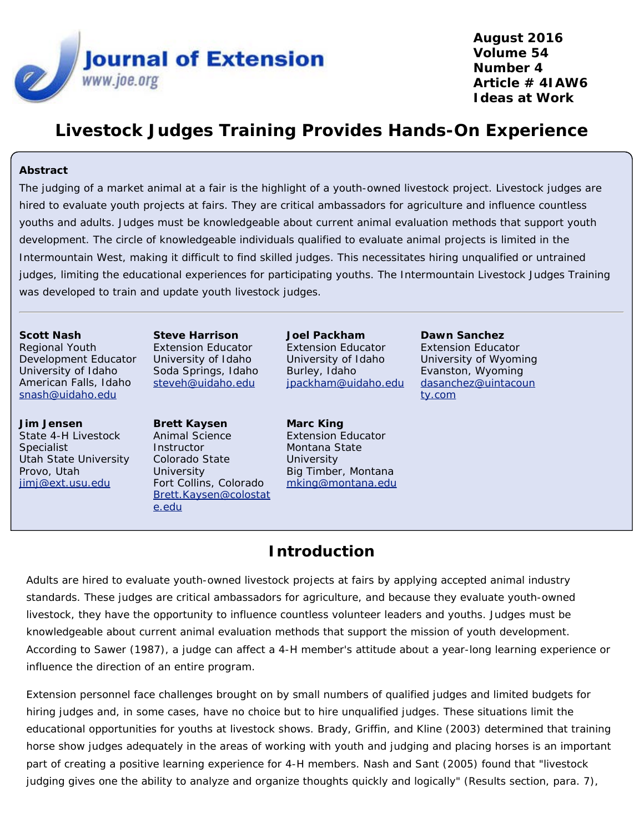

**August 2016 Volume 54 Number 4 Article # 4IAW6 Ideas at Work**

# **Livestock Judges Training Provides Hands-On Experience**

## **Abstract**

The judging of a market animal at a fair is the highlight of a youth-owned livestock project. Livestock judges are hired to evaluate youth projects at fairs. They are critical ambassadors for agriculture and influence countless youths and adults. Judges must be knowledgeable about current animal evaluation methods that support youth development. The circle of knowledgeable individuals qualified to evaluate animal projects is limited in the Intermountain West, making it difficult to find skilled judges. This necessitates hiring unqualified or untrained judges, limiting the educational experiences for participating youths. The Intermountain Livestock Judges Training was developed to train and update youth livestock judges.

### **Scott Nash**

Regional Youth Development Educator University of Idaho American Falls, Idaho [snash@uidaho.edu](mailto:snash@uidaho.edu)

### **Jim Jensen**

State 4-H Livestock Specialist Utah State University Provo, Utah [jimj@ext.usu.edu](mailto:jimj@ext.usu.edu)

**Steve Harrison** Extension Educator University of Idaho Soda Springs, Idaho [steveh@uidaho.edu](mailto:steveh@uidaho.edu)

## **Brett Kaysen** Animal Science **Instructor** Colorado State **University** Fort Collins, Colorado [Brett.Kaysen@colostat](mailto:Brett.Kaysen@colostate.edu) [e.edu](mailto:Brett.Kaysen@colostate.edu)

**Joel Packham** Extension Educator University of Idaho Burley, Idaho [jpackham@uidaho.edu](mailto:jpackham@uidaho.edu)

**Marc King** Extension Educator Montana State **University** Big Timber, Montana [mking@montana.edu](mailto:mking@montana.edu) **Dawn Sanchez** Extension Educator University of Wyoming Evanston, Wyoming [dasanchez@uintacoun](mailto:dasanchez@uintacounty.com) [ty.com](mailto:dasanchez@uintacounty.com)

# **Introduction**

Adults are hired to evaluate youth-owned livestock projects at fairs by applying accepted animal industry standards. These judges are critical ambassadors for agriculture, and because they evaluate youth-owned livestock, they have the opportunity to influence countless volunteer leaders and youths. Judges must be knowledgeable about current animal evaluation methods that support the mission of youth development. According to Sawer (1987), a judge can affect a 4-H member's attitude about a year-long learning experience or influence the direction of an entire program.

Extension personnel face challenges brought on by small numbers of qualified judges and limited budgets for hiring judges and, in some cases, have no choice but to hire unqualified judges. These situations limit the educational opportunities for youths at livestock shows. Brady, Griffin, and Kline (2003) determined that training horse show judges adequately in the areas of working with youth and judging and placing horses is an important part of creating a positive learning experience for 4-H members. Nash and Sant (2005) found that "livestock judging gives one the ability to analyze and organize thoughts quickly and logically" (Results section, para. 7),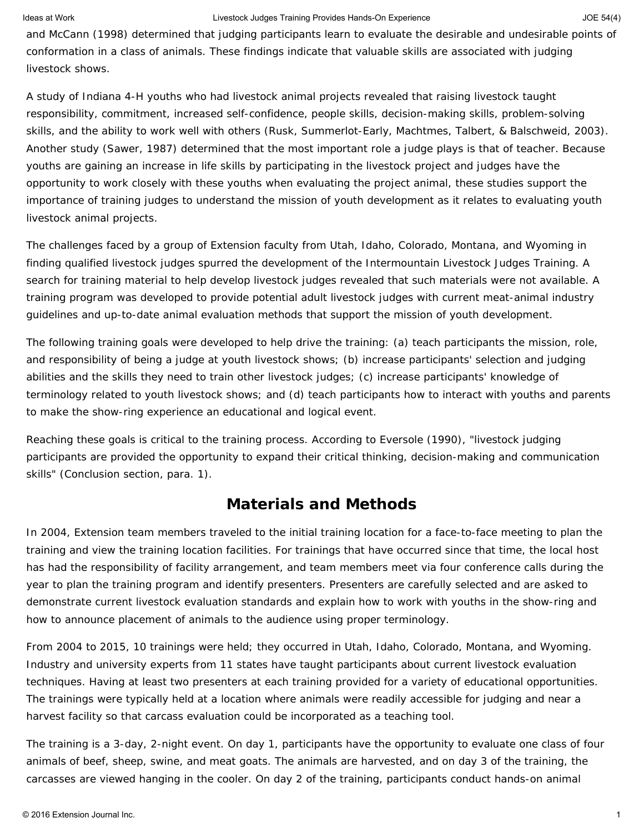and McCann (1998) determined that judging participants learn to evaluate the desirable and undesirable points of conformation in a class of animals. These findings indicate that valuable skills are associated with judging livestock shows.

A study of Indiana 4-H youths who had livestock animal projects revealed that raising livestock taught responsibility, commitment, increased self-confidence, people skills, decision-making skills, problem-solving skills, and the ability to work well with others (Rusk, Summerlot-Early, Machtmes, Talbert, & Balschweid, 2003). Another study (Sawer, 1987) determined that the most important role a judge plays is that of teacher. Because youths are gaining an increase in life skills by participating in the livestock project and judges have the opportunity to work closely with these youths when evaluating the project animal, these studies support the importance of training judges to understand the mission of youth development as it relates to evaluating youth livestock animal projects.

The challenges faced by a group of Extension faculty from Utah, Idaho, Colorado, Montana, and Wyoming in finding qualified livestock judges spurred the development of the Intermountain Livestock Judges Training. A search for training material to help develop livestock judges revealed that such materials were not available. A training program was developed to provide potential adult livestock judges with current meat-animal industry guidelines and up-to-date animal evaluation methods that support the mission of youth development.

The following training goals were developed to help drive the training: (a) teach participants the mission, role, and responsibility of being a judge at youth livestock shows; (b) increase participants' selection and judging abilities and the skills they need to train other livestock judges; (c) increase participants' knowledge of terminology related to youth livestock shows; and (d) teach participants how to interact with youths and parents to make the show-ring experience an educational and logical event.

Reaching these goals is critical to the training process. According to Eversole (1990), "livestock judging participants are provided the opportunity to expand their critical thinking, decision-making and communication skills" (Conclusion section, para. 1).

## **Materials and Methods**

In 2004, Extension team members traveled to the initial training location for a face-to-face meeting to plan the training and view the training location facilities. For trainings that have occurred since that time, the local host has had the responsibility of facility arrangement, and team members meet via four conference calls during the year to plan the training program and identify presenters. Presenters are carefully selected and are asked to demonstrate current livestock evaluation standards and explain how to work with youths in the show-ring and how to announce placement of animals to the audience using proper terminology.

From 2004 to 2015, 10 trainings were held; they occurred in Utah, Idaho, Colorado, Montana, and Wyoming. Industry and university experts from 11 states have taught participants about current livestock evaluation techniques. Having at least two presenters at each training provided for a variety of educational opportunities. The trainings were typically held at a location where animals were readily accessible for judging and near a harvest facility so that carcass evaluation could be incorporated as a teaching tool.

The training is a 3-day, 2-night event. On day 1, participants have the opportunity to evaluate one class of four animals of beef, sheep, swine, and meat goats. The animals are harvested, and on day 3 of the training, the carcasses are viewed hanging in the cooler. On day 2 of the training, participants conduct hands-on animal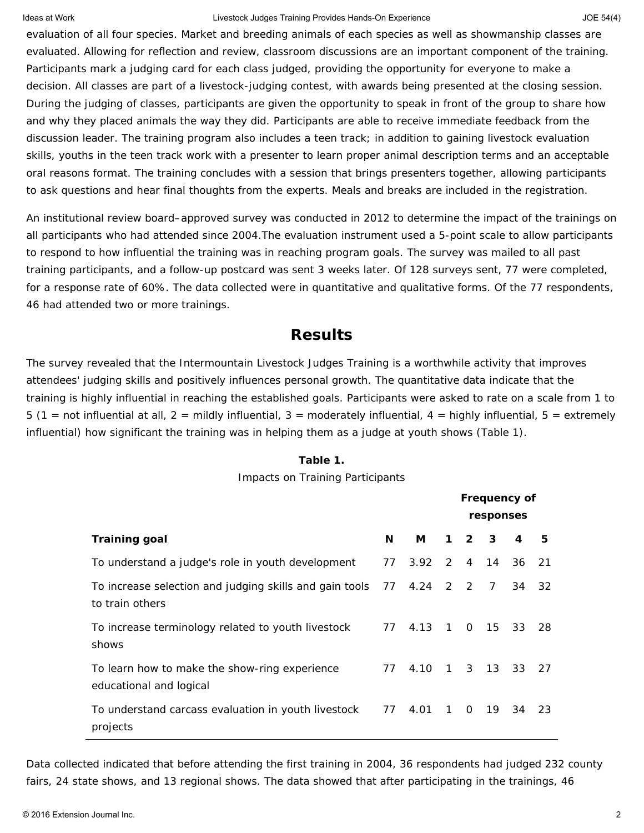evaluation of all four species. Market and breeding animals of each species as well as showmanship classes are evaluated. Allowing for reflection and review, classroom discussions are an important component of the training. Participants mark a judging card for each class judged, providing the opportunity for everyone to make a decision. All classes are part of a livestock-judging contest, with awards being presented at the closing session. During the judging of classes, participants are given the opportunity to speak in front of the group to share how and why they placed animals the way they did. Participants are able to receive immediate feedback from the discussion leader. The training program also includes a teen track; in addition to gaining livestock evaluation skills, youths in the teen track work with a presenter to learn proper animal description terms and an acceptable oral reasons format. The training concludes with a session that brings presenters together, allowing participants to ask questions and hear final thoughts from the experts. Meals and breaks are included in the registration.

An institutional review board–approved survey was conducted in 2012 to determine the impact of the trainings on all participants who had attended since 2004.The evaluation instrument used a 5-point scale to allow participants to respond to how influential the training was in reaching program goals. The survey was mailed to all past training participants, and a follow-up postcard was sent 3 weeks later. Of 128 surveys sent, 77 were completed, for a response rate of 60%. The data collected were in quantitative and qualitative forms. Of the 77 respondents, 46 had attended two or more trainings.

## **Results**

The survey revealed that the Intermountain Livestock Judges Training is a worthwhile activity that improves attendees' judging skills and positively influences personal growth. The quantitative data indicate that the training is highly influential in reaching the established goals. Participants were asked to rate on a scale from 1 to 5 (1 = *not influential at all*, 2 = *mildly influential*, 3 = *moderately influential*, 4 = *highly influential*, 5 = *extremely influential*) how significant the training was in helping them as a judge at youth shows (Table 1).

## **Table 1.**

## Impacts on Training Participants

|                                                                                        |    | <b>Frequency of</b> |           |                   |                |       |     |
|----------------------------------------------------------------------------------------|----|---------------------|-----------|-------------------|----------------|-------|-----|
|                                                                                        |    |                     | responses |                   |                |       |     |
| <b>Training goal</b>                                                                   | N  | М                   |           | $1\quad 2\quad 3$ |                | 4     | 5   |
| To understand a judge's role in youth development                                      | 77 | 3.92                |           |                   | 2 4 14         | 36 21 |     |
| To increase selection and judging skills and gain tools 77 4.24 2 2<br>to train others |    |                     |           |                   | $\overline{7}$ | 34    | -32 |
| To increase terminology related to youth livestock<br>shows                            | 77 | 4.13                |           |                   | 1 0 15         | 33    | 28  |
| To learn how to make the show-ring experience<br>educational and logical               | 77 | 4.10                |           |                   | 1 3 13         | 33 27 |     |
| To understand carcass evaluation in youth livestock<br>projects                        | 77 | 4.01                |           |                   | 1 0 19         | 34    | -23 |

Data collected indicated that before attending the first training in 2004, 36 respondents had judged 232 county fairs, 24 state shows, and 13 regional shows. The data showed that after participating in the trainings, 46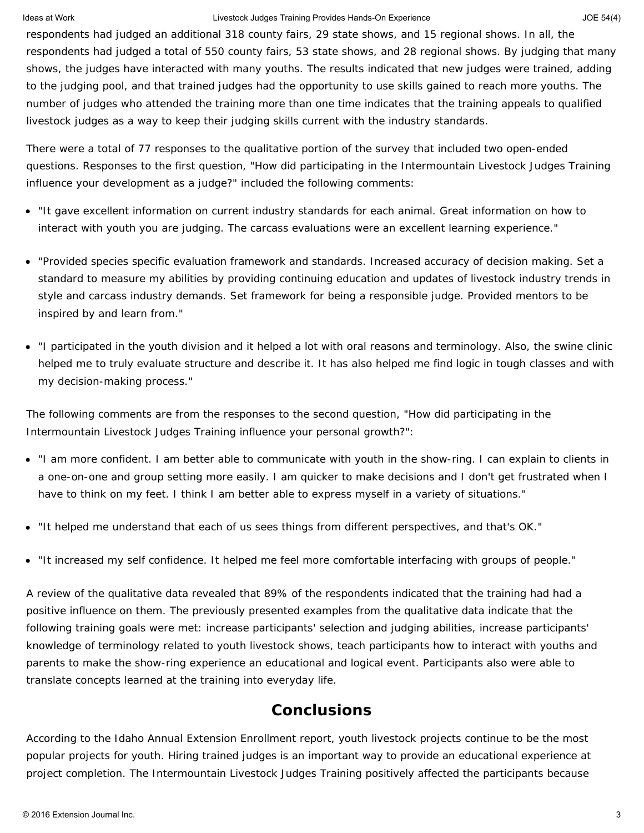respondents had judged an additional 318 county fairs, 29 state shows, and 15 regional shows. In all, the respondents had judged a total of 550 county fairs, 53 state shows, and 28 regional shows. By judging that many shows, the judges have interacted with many youths. The results indicated that new judges were trained, adding to the judging pool, and that trained judges had the opportunity to use skills gained to reach more youths. The number of judges who attended the training more than one time indicates that the training appeals to qualified livestock judges as a way to keep their judging skills current with the industry standards.

There were a total of 77 responses to the qualitative portion of the survey that included two open-ended questions. Responses to the first question, "How did participating in the Intermountain Livestock Judges Training influence your development as a judge?" included the following comments:

- "It gave excellent information on current industry standards for each animal. Great information on how to interact with youth you are judging. The carcass evaluations were an excellent learning experience."
- "Provided species specific evaluation framework and standards. Increased accuracy of decision making. Set a standard to measure my abilities by providing continuing education and updates of livestock industry trends in style and carcass industry demands. Set framework for being a responsible judge. Provided mentors to be inspired by and learn from."
- "I participated in the youth division and it helped a lot with oral reasons and terminology. Also, the swine clinic helped me to truly evaluate structure and describe it. It has also helped me find logic in tough classes and with my decision-making process."

The following comments are from the responses to the second question, "How did participating in the Intermountain Livestock Judges Training influence your personal growth?":

- "I am more confident. I am better able to communicate with youth in the show-ring. I can explain to clients in a one-on-one and group setting more easily. I am quicker to make decisions and I don't get frustrated when I have to think on my feet. I think I am better able to express myself in a variety of situations."
- "It helped me understand that each of us sees things from different perspectives, and that's OK."
- "It increased my self confidence. It helped me feel more comfortable interfacing with groups of people."

A review of the qualitative data revealed that 89% of the respondents indicated that the training had had a positive influence on them. The previously presented examples from the qualitative data indicate that the following training goals were met: increase participants' selection and judging abilities, increase participants' knowledge of terminology related to youth livestock shows, teach participants how to interact with youths and parents to make the show-ring experience an educational and logical event. Participants also were able to translate concepts learned at the training into everyday life.

# **Conclusions**

According to the Idaho Annual Extension Enrollment report, youth livestock projects continue to be the most popular projects for youth. Hiring trained judges is an important way to provide an educational experience at project completion. The Intermountain Livestock Judges Training positively affected the participants because